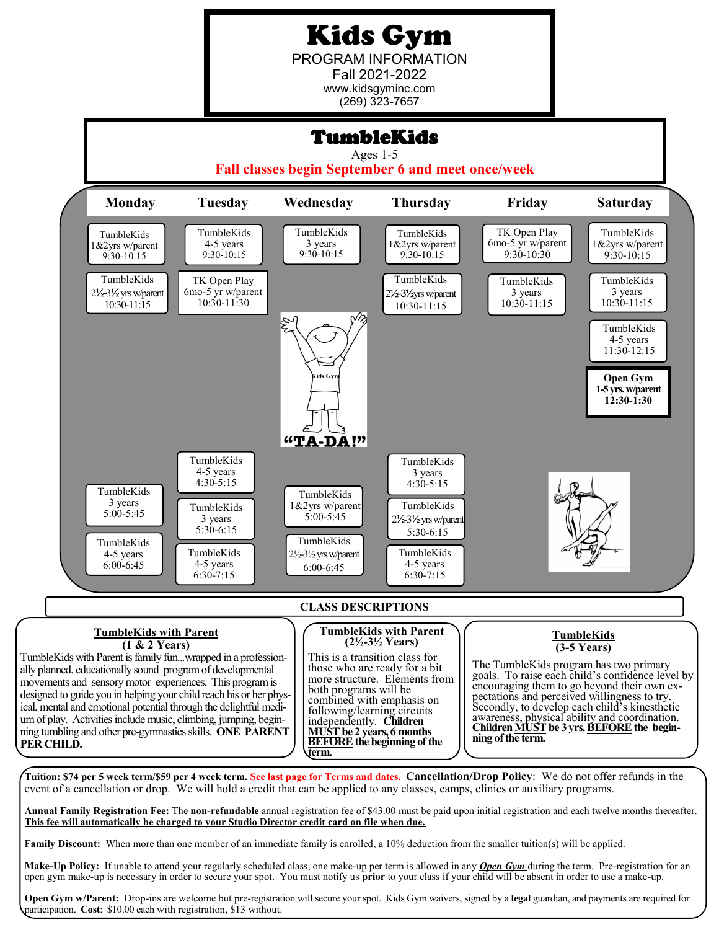# Kids Gym

PROGRAM INFORMATION Fall 2021-2022 www.kidsgyminc.com (269) 323-7657

## TumbleKids

Ages 1-5

**Fall classes begin September 6 and meet once/week**



**Family Discount:** When more than one member of an immediate family is enrolled, a 10% deduction from the smaller tuition(s) will be applied.

**Make-Up Policy:** If unable to attend your regularly scheduled class, one make-up per term is allowed in any *Open Gym* during the term. Pre-registration for an open gym make-up is necessary in order to secure your spot. You must notify us **prior** to your class if your child will be absent in order to use a make-up.

**Open Gym w/Parent:** Drop-ins are welcome but pre-registration will secure your spot. Kids Gym waivers, signed by a **legal** guardian, and payments are required for participation. **Cost**: \$10.00 each with registration, \$13 without.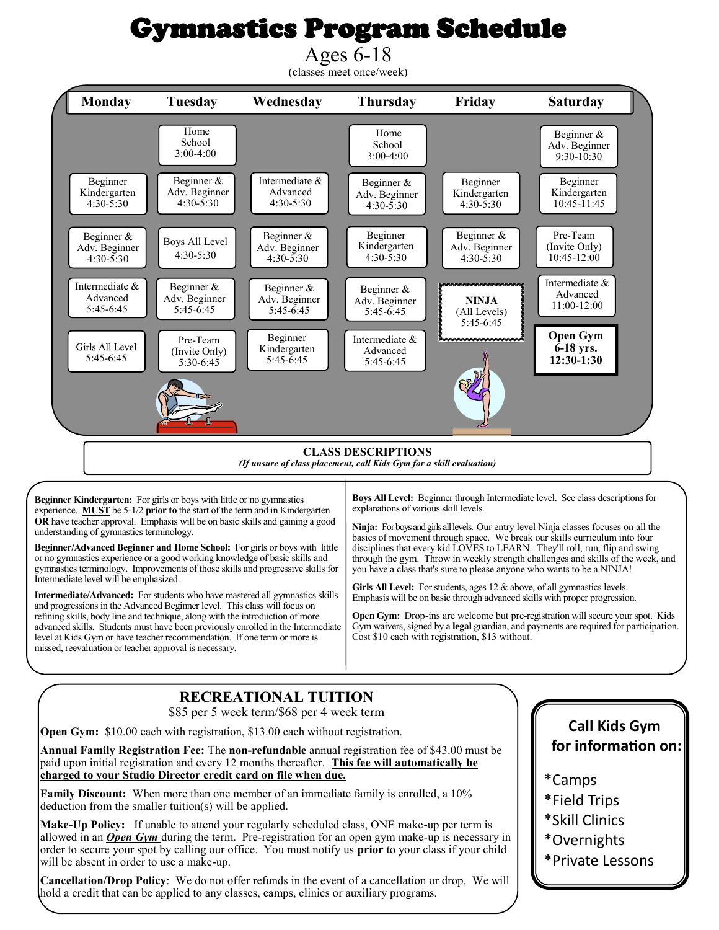# Gymnastics Program Schedule

Ages 6-18 (classes meet once/week)  **Monday Tuesday Wednesday Thursday Friday Saturday**  Home Home Beginner & School School Adv. Beginner 3:00-4:00 9:30-10:30 3:00-4:00 Intermediate & Beginner Beginner & Beginner Beginner & Beginner Kindergarten Adv. Beginner Advanced Kindergarten Kindergarten Adv. Beginner  $4:30 - 5:30$ 4:30-5:30 4:30-5:30 10:45-11:45 4:30-5:30  $4:30 - 5:30$ Beginner & Beginner Beginner & Pre-Team Beginner & Boys All Level Kindergarten (Invite Only) Adv. Beginner Adv. Beginner Adv. Beginner 4:30-5:30  $4:30 - 5:30$  $4:30 - 5:30$ 4:30-5:30 4:30-5:30 10:45-12:00 Intermediate & Intermediate & Beginner & Beginner & Beginner & Advanced Advanced Adv. Beginner Adv. Beginner **NINJA** Adv. Beginner 11:00-12:00 5:45-6:45 5:45-6:45 5:45-6:45 5:45-6:45 (All Levels) 5:45-6:45 **Open Gym** Beginner Intermediate & Pre-Team Girls All Level Kindergarten **6-18 yrs.** (Invite Only) Advanced 5:45-6:45 5:45-6:45 **12:30-1:30** 5:45-6:45 5:30-6:45 **CLASS DESCRIPTIONS**

#### *(If unsure of class placement, call Kids Gym for a skill evaluation)*

**Beginner Kindergarten:** For girls or boys with little or no gymnastics experience. **MUST** be 5-1/2 **prior to** the start of the term and in Kindergarten **OR** have teacher approval. Emphasis will be on basic skills and gaining a good understanding of gymnastics terminology.

**Beginner/Advanced Beginner and Home School:** For girls or boys with little or no gymnastics experience or a good working knowledge of basic skills and gymnastics terminology. Improvements of those skills and progressive skills for Intermediate level will be emphasized.

**Intermediate/Advanced:** For students who have mastered all gymnastics skills and progressions in the Advanced Beginner level. This class will focus on refining skills, body line and technique, along with the introduction of more advanced skills. Students must have been previously enrolled in the Intermediate level at Kids Gym or have teacher recommendation. If one term or more is missed, reevaluation or teacher approval is necessary.

**Boys All Level:** Beginner through Intermediate level. See class descriptions for explanations of various skill levels.

**Ninja:** For boys and girls all levels. Our entry level Ninja classes focuses on all the basics of movement through space. We break our skills curriculum into four disciplines that every kid LOVES to LEARN. They'll roll, run, flip and swing through the gym. Throw in weekly strength challenges and skills of the week, and you have a class that's sure to please anyone who wants to be a NINJA!

Girls All Level: For students, ages 12 & above, of all gymnastics levels. Emphasis will be on basic through advanced skills with proper progression.

**Open Gym:** Drop-ins are welcome but pre-registration will secure your spot. Kids Gym waivers, signed by a **legal** guardian, and payments are required for participation. Cost \$10 each with registration, \$13 without.

### **RECREATIONAL TUITION**

\$85 per 5 week term/\$68 per 4 week term

**Open Gym:** \$10.00 each with registration, \$13.00 each without registration.

**Annual Family Registration Fee:** The **non-refundable** annual registration fee of \$43.00 must be paid upon initial registration and every 12 months thereafter. **This fee will automatically be charged to your Studio Director credit card on file when due.**

**Family Discount:** When more than one member of an immediate family is enrolled, a 10% deduction from the smaller tuition(s) will be applied.

**Make-Up Policy:** If unable to attend your regularly scheduled class, ONE make-up per term is allowed in an *Open Gym* during the term. Pre-registration for an open gym make-up is necessary in order to secure your spot by calling our office. You must notify us **prior** to your class if your child will be absent in order to use a make-up.

**Cancellation/Drop Policy**: We do not offer refunds in the event of a cancellation or drop. We will hold a credit that can be applied to any classes, camps, clinics or auxiliary programs.

#### **Call Kids Gym for information on:**

- \*Camps
- \*Field Trips
- \*Skill Clinics
- \*Overnights
- \*Private Lessons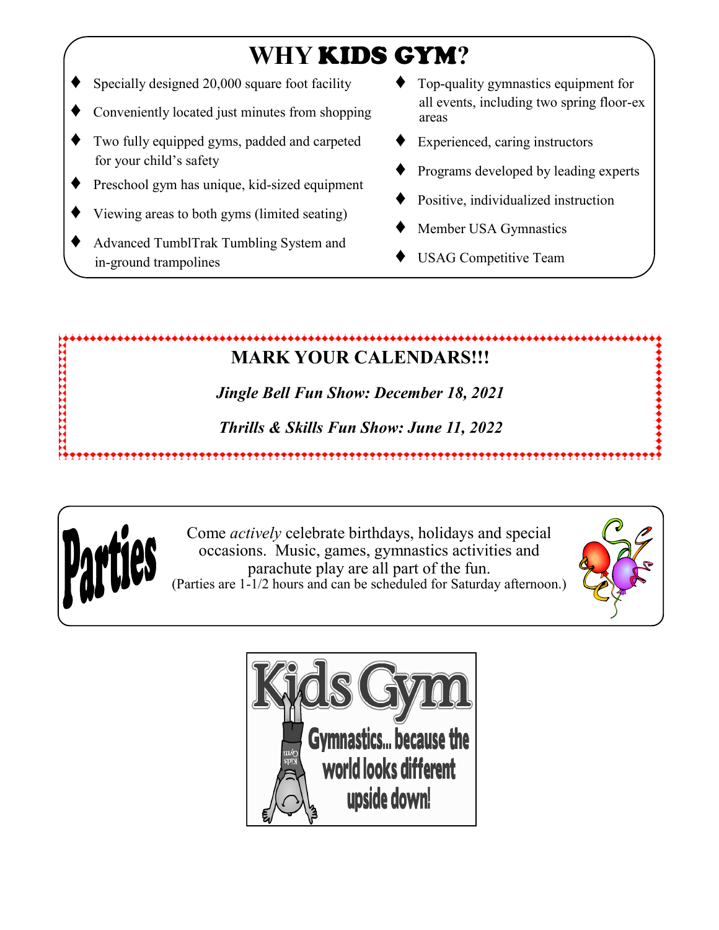# **WHY** KIDS GYM**?**

- Specially designed 20,000 square foot facility
- Conveniently located just minutes from shopping
- Two fully equipped gyms, padded and carpeted for your child's safety
- Preschool gym has unique, kid-sized equipment
- Viewing areas to both gyms (limited seating)
- Advanced TumblTrak Tumbling System and in-ground trampolines
- Top-quality gymnastics equipment for all events, including two spring floor-ex areas
- Experienced, caring instructors
- Programs developed by leading experts
- Positive, individualized instruction
- Member USA Gymnastics
- USAG Competitive Team

#### IYAYYYYYYYYYYYYYYYYYYY ,,,,,,,,,,,,,,,,,,,,,,,,,, **MARK YOUR CALENDARS!!!**

*Jingle Bell Fun Show: December 18, 2021*

*Thrills & Skills Fun Show: June 11, 2022*



医阿里斯氏试验检胆汁 医皮肤病

Come *actively* celebrate birthdays, holidays and special occasions. Music, games, gymnastics activities and parachute play are all part of the fun. (Parties are 1-1/2 hours and can be scheduled for Saturday afternoon.)